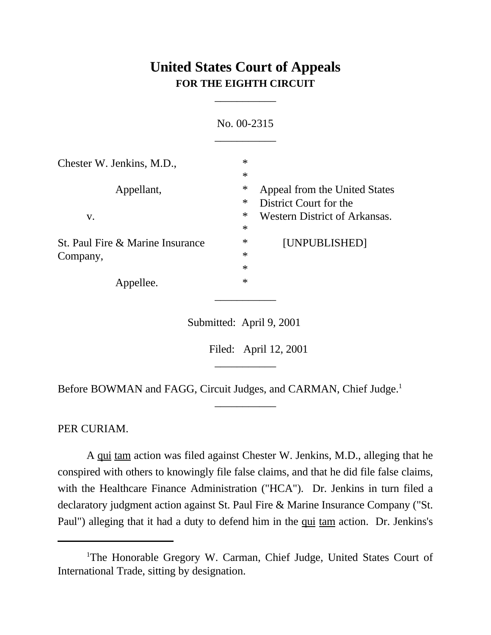## **United States Court of Appeals FOR THE EIGHTH CIRCUIT**

\_\_\_\_\_\_\_\_\_\_\_

|                                  | No. 00-2315 |                                      |
|----------------------------------|-------------|--------------------------------------|
| Chester W. Jenkins, M.D.,        | $\ast$      |                                      |
|                                  | $\ast$      |                                      |
| Appellant,                       | $\ast$      | Appeal from the United States        |
|                                  | $\ast$      | District Court for the               |
| V.                               | $\ast$      | <b>Western District of Arkansas.</b> |
|                                  | $\ast$      |                                      |
| St. Paul Fire & Marine Insurance | $\ast$      | [UNPUBLISHED]                        |
| Company,                         | $\ast$      |                                      |
|                                  | $\ast$      |                                      |
| Appellee.                        | $\ast$      |                                      |

Submitted: April 9, 2001

\_\_\_\_\_\_\_\_\_\_\_

\_\_\_\_\_\_\_\_\_\_\_

Filed: April 12, 2001

Before BOWMAN and FAGG, Circuit Judges, and CARMAN, Chief Judge.<sup>1</sup>

PER CURIAM.

A qui tam action was filed against Chester W. Jenkins, M.D., alleging that he conspired with others to knowingly file false claims, and that he did file false claims, with the Healthcare Finance Administration ("HCA"). Dr. Jenkins in turn filed a declaratory judgment action against St. Paul Fire & Marine Insurance Company ("St. Paul") alleging that it had a duty to defend him in the qui tam action. Dr. Jenkins's

<sup>&</sup>lt;sup>1</sup>The Honorable Gregory W. Carman, Chief Judge, United States Court of International Trade, sitting by designation.